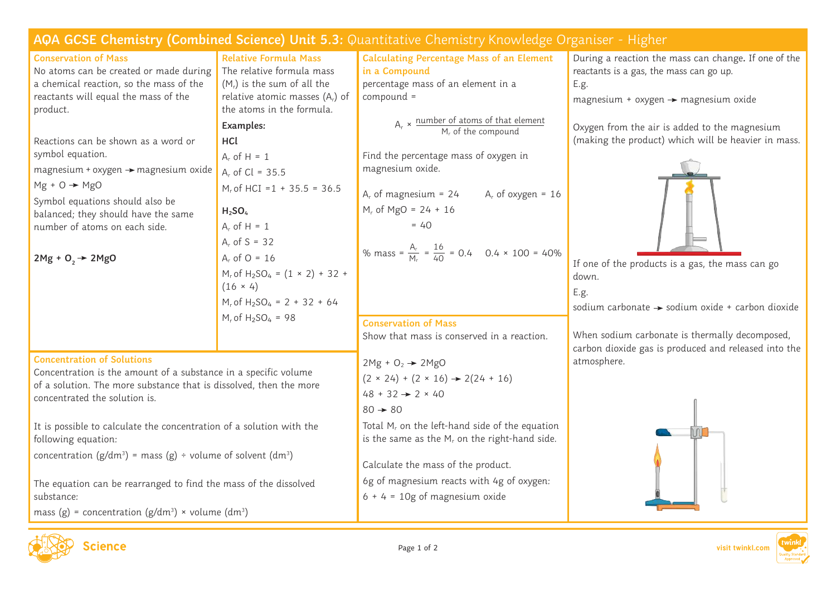| AQA GCSE Chemistry (Combined Science) Unit 5.3: Quantitative Chemistry Knowledge Organiser - Higher                                                                    |                                                                 |                                                                                  |                                                      |
|------------------------------------------------------------------------------------------------------------------------------------------------------------------------|-----------------------------------------------------------------|----------------------------------------------------------------------------------|------------------------------------------------------|
| <b>Conservation of Mass</b>                                                                                                                                            | <b>Relative Formula Mass</b>                                    | <b>Calculating Percentage Mass of an Element</b>                                 | During a reaction the mass can change. If one of the |
| No atoms can be created or made during                                                                                                                                 | The relative formula mass                                       | in a Compound                                                                    | reactants is a gas, the mass can go up.              |
| a chemical reaction, so the mass of the                                                                                                                                | $(Mr)$ is the sum of all the                                    | percentage mass of an element in a                                               | E.g.                                                 |
| reactants will equal the mass of the                                                                                                                                   | relative atomic masses $(A_r)$ of                               | compound =                                                                       | magnesium + oxygen $\rightarrow$ magnesium oxide     |
| product.                                                                                                                                                               | the atoms in the formula.                                       |                                                                                  |                                                      |
|                                                                                                                                                                        | Examples:                                                       | $A_r \times \frac{number\ of\ atoms\ of\ that\ element}{M_r\ of\ the\ compound}$ | Oxygen from the air is added to the magnesium        |
| Reactions can be shown as a word or                                                                                                                                    | HCL                                                             |                                                                                  | (making the product) which will be heavier in mass.  |
| symbol equation.                                                                                                                                                       | $A_r$ of H = 1                                                  | Find the percentage mass of oxygen in                                            |                                                      |
| magnesium + oxygen → magnesium oxide                                                                                                                                   | $A_r$ of Cl = 35.5                                              | magnesium oxide.                                                                 |                                                      |
| $Mg + O \rightarrow MgO$                                                                                                                                               | $M_r$ of HCI = 1 + 35.5 = 36.5                                  | $A_r$ of magnesium = 24<br>$A_r$ of oxygen = 16                                  |                                                      |
| Symbol equations should also be                                                                                                                                        | H <sub>2</sub> SO <sub>4</sub>                                  | $M_r$ of MgO = 24 + 16                                                           |                                                      |
| balanced; they should have the same                                                                                                                                    | $A_r$ of H = 1                                                  | $= 40$                                                                           |                                                      |
| number of atoms on each side.                                                                                                                                          |                                                                 |                                                                                  |                                                      |
|                                                                                                                                                                        | $A_r$ of S = 32                                                 | % mass = $\frac{A_r}{M_e}$ = $\frac{16}{40}$ = 0.4 0.4 × 100 = 40%               |                                                      |
| $2Mg + 0, \rightarrow 2MgO$                                                                                                                                            | $A_r$ of O = 16                                                 |                                                                                  | If one of the products is a gas, the mass can go     |
|                                                                                                                                                                        | $M_r$ of H <sub>2</sub> SO <sub>4</sub> = $(1 \times 2) + 32 +$ |                                                                                  | down.                                                |
|                                                                                                                                                                        | $(16 \times 4)$                                                 |                                                                                  | E.g.                                                 |
|                                                                                                                                                                        | $M_r$ of H <sub>2</sub> SO <sub>4</sub> = 2 + 32 + 64           |                                                                                  | sodium carbonate > sodium oxide + carbon dioxide     |
|                                                                                                                                                                        | $M_r$ of $H_2SO_4 = 98$                                         | <b>Conservation of Mass</b>                                                      |                                                      |
|                                                                                                                                                                        |                                                                 | Show that mass is conserved in a reaction.                                       | When sodium carbonate is thermally decomposed,       |
| <b>Concentration of Solutions</b>                                                                                                                                      |                                                                 |                                                                                  | carbon dioxide gas is produced and released into the |
| Concentration is the amount of a substance in a specific volume<br>of a solution. The more substance that is dissolved, then the more<br>concentrated the solution is. |                                                                 | $2Mg + O2$ $\rightarrow$ $2MgO$                                                  | atmosphere.                                          |
|                                                                                                                                                                        |                                                                 | $(2 \times 24) + (2 \times 16) \rightarrow 2(24 + 16)$                           |                                                      |
|                                                                                                                                                                        |                                                                 | $48 + 32 \rightarrow 2 \times 40$                                                |                                                      |
|                                                                                                                                                                        |                                                                 | $80 \rightarrow 80$                                                              |                                                      |
| It is possible to calculate the concentration of a solution with the                                                                                                   |                                                                 | Total $M_r$ on the left-hand side of the equation                                |                                                      |
| following equation:                                                                                                                                                    |                                                                 | is the same as the $M_r$ on the right-hand side.                                 |                                                      |
| concentration ( $g/dm^3$ ) = mass ( $g$ ) ÷ volume of solvent (dm <sup>3</sup> )                                                                                       |                                                                 |                                                                                  |                                                      |
|                                                                                                                                                                        |                                                                 | Calculate the mass of the product.                                               |                                                      |
| The equation can be rearranged to find the mass of the dissolved                                                                                                       |                                                                 | 6g of magnesium reacts with 4g of oxygen:                                        |                                                      |
| substance:                                                                                                                                                             |                                                                 | $6 + 4 = 10g$ of magnesium oxide                                                 |                                                      |
| mass (g) = concentration (g/dm <sup>3</sup> ) × volume (dm <sup>3</sup> )                                                                                              |                                                                 |                                                                                  |                                                      |





twink